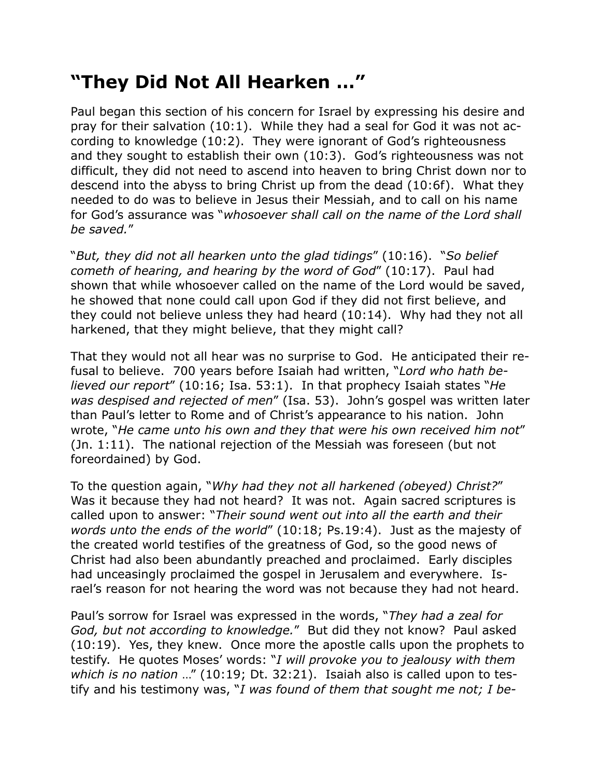## **"They Did Not All Hearken …"**

Paul began this section of his concern for Israel by expressing his desire and pray for their salvation (10:1). While they had a seal for God it was not according to knowledge (10:2). They were ignorant of God's righteousness and they sought to establish their own (10:3). God's righteousness was not difficult, they did not need to ascend into heaven to bring Christ down nor to descend into the abyss to bring Christ up from the dead (10:6f). What they needed to do was to believe in Jesus their Messiah, and to call on his name for God's assurance was "*whosoever shall call on the name of the Lord shall be saved.*"

"*But, they did not all hearken unto the glad tidings*" (10:16). "*So belief cometh of hearing, and hearing by the word of God*" (10:17). Paul had shown that while whosoever called on the name of the Lord would be saved, he showed that none could call upon God if they did not first believe, and they could not believe unless they had heard (10:14). Why had they not all harkened, that they might believe, that they might call?

That they would not all hear was no surprise to God. He anticipated their refusal to believe. 700 years before Isaiah had written, "*Lord who hath believed our report*" (10:16; Isa. 53:1). In that prophecy Isaiah states "*He was despised and rejected of men*" (Isa. 53). John's gospel was written later than Paul's letter to Rome and of Christ's appearance to his nation. John wrote, "*He came unto his own and they that were his own received him not*" (Jn. 1:11). The national rejection of the Messiah was foreseen (but not foreordained) by God.

To the question again, "*Why had they not all harkened (obeyed) Christ?*" Was it because they had not heard? It was not. Again sacred scriptures is called upon to answer: "*Their sound went out into all the earth and their words unto the ends of the world*" (10:18; Ps.19:4). Just as the majesty of the created world testifies of the greatness of God, so the good news of Christ had also been abundantly preached and proclaimed. Early disciples had unceasingly proclaimed the gospel in Jerusalem and everywhere. Israel's reason for not hearing the word was not because they had not heard.

Paul's sorrow for Israel was expressed in the words, "*They had a zeal for God, but not according to knowledge.*" But did they not know? Paul asked (10:19). Yes, they knew. Once more the apostle calls upon the prophets to testify. He quotes Moses' words: "*I will provoke you to jealousy with them which is no nation* …" (10:19; Dt. 32:21). Isaiah also is called upon to testify and his testimony was, "*I was found of them that sought me not; I be-*